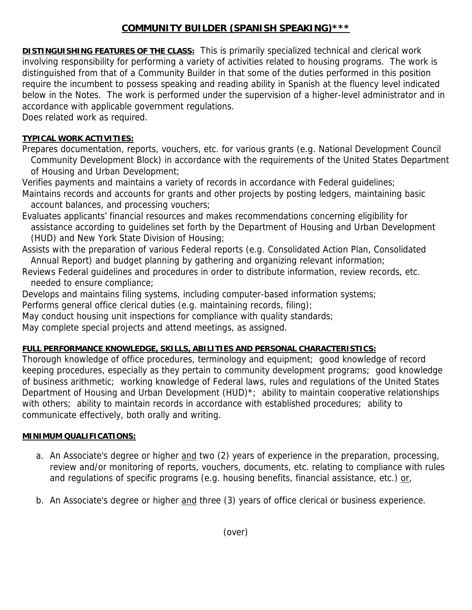# **COMMUNITY BUILDER (SPANISH SPEAKING)\*\*\***

**DISTINGUISHING FEATURES OF THE CLASS:** This is primarily specialized technical and clerical work involving responsibility for performing a variety of activities related to housing programs. The work is distinguished from that of a Community Builder in that some of the duties performed in this position require the incumbent to possess speaking and reading ability in Spanish at the fluency level indicated below in the Notes. The work is performed under the supervision of a higher-level administrator and in accordance with applicable government regulations.

Does related work as required.

## **TYPICAL WORK ACTIVITIES:**

Prepares documentation, reports, vouchers, etc. for various grants (e.g. National Development Council Community Development Block) in accordance with the requirements of the United States Department of Housing and Urban Development;

Verifies payments and maintains a variety of records in accordance with Federal guidelines;

Maintains records and accounts for grants and other projects by posting ledgers, maintaining basic account balances, and processing vouchers;

Evaluates applicants' financial resources and makes recommendations concerning eligibility for assistance according to guidelines set forth by the Department of Housing and Urban Development (HUD) and New York State Division of Housing;

Assists with the preparation of various Federal reports (e.g. Consolidated Action Plan, Consolidated Annual Report) and budget planning by gathering and organizing relevant information;

Reviews Federal guidelines and procedures in order to distribute information, review records, etc. needed to ensure compliance;

Develops and maintains filing systems, including computer-based information systems;

Performs general office clerical duties (e.g. maintaining records, filing);

May conduct housing unit inspections for compliance with quality standards;

May complete special projects and attend meetings, as assigned.

### **FULL PERFORMANCE KNOWLEDGE, SKILLS, ABILITIES AND PERSONAL CHARACTERISTICS:**

Thorough knowledge of office procedures, terminology and equipment; good knowledge of record keeping procedures, especially as they pertain to community development programs; good knowledge of business arithmetic; working knowledge of Federal laws, rules and regulations of the United States Department of Housing and Urban Development (HUD)<sup>\*</sup>; ability to maintain cooperative relationships with others; ability to maintain records in accordance with established procedures; ability to communicate effectively, both orally and writing.

## **MINIMUM QUALIFICATIONS:**

- a. An Associate's degree or higher and two (2) years of experience in the preparation, processing, review and/or monitoring of reports, vouchers, documents, etc. relating to compliance with rules and regulations of specific programs (e.g. housing benefits, financial assistance, etc.) or,
- b. An Associate's degree or higher and three (3) years of office clerical or business experience.